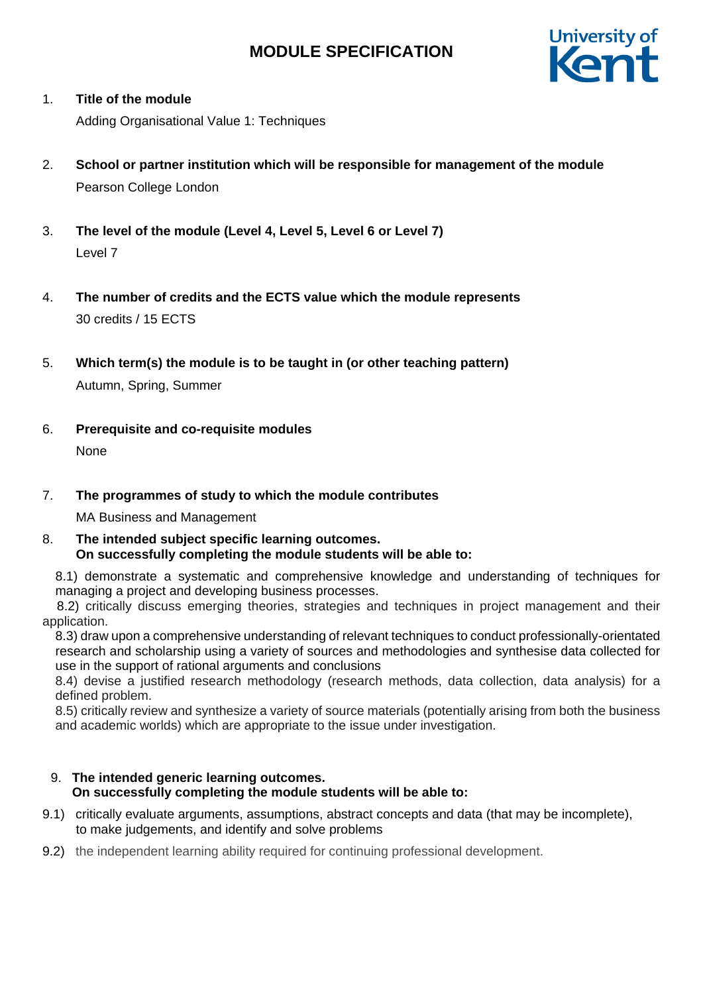

## 1. **Title of the module**

Adding Organisational Value 1: Techniques

- 2. **School or partner institution which will be responsible for management of the module** Pearson College London
- 3. **The level of the module (Level 4, Level 5, Level 6 or Level 7)** Level 7
- 4. **The number of credits and the ECTS value which the module represents**  30 credits / 15 ECTS
- 5. **Which term(s) the module is to be taught in (or other teaching pattern)**

Autumn, Spring, Summer

6. **Prerequisite and co-requisite modules** None

## 7. **The programmes of study to which the module contributes**

MA Business and Management

8. **The intended subject specific learning outcomes. On successfully completing the module students will be able to:**

8.1) demonstrate a systematic and comprehensive knowledge and understanding of techniques for managing a project and developing business processes.

 8.2) critically discuss emerging theories, strategies and techniques in project management and their application.

8.3) draw upon a comprehensive understanding of relevant techniques to conduct professionally-orientated research and scholarship using a variety of sources and methodologies and synthesise data collected for use in the support of rational arguments and conclusions

8.4) devise a justified research methodology (research methods, data collection, data analysis) for a defined problem.

8.5) critically review and synthesize a variety of source materials (potentially arising from both the business and academic worlds) which are appropriate to the issue under investigation.

## 9. **The intended generic learning outcomes. On successfully completing the module students will be able to:**

- 9.1) critically evaluate arguments, assumptions, abstract concepts and data (that may be incomplete), to make judgements, and identify and solve problems
- 9.2) the independent learning ability required for continuing professional development.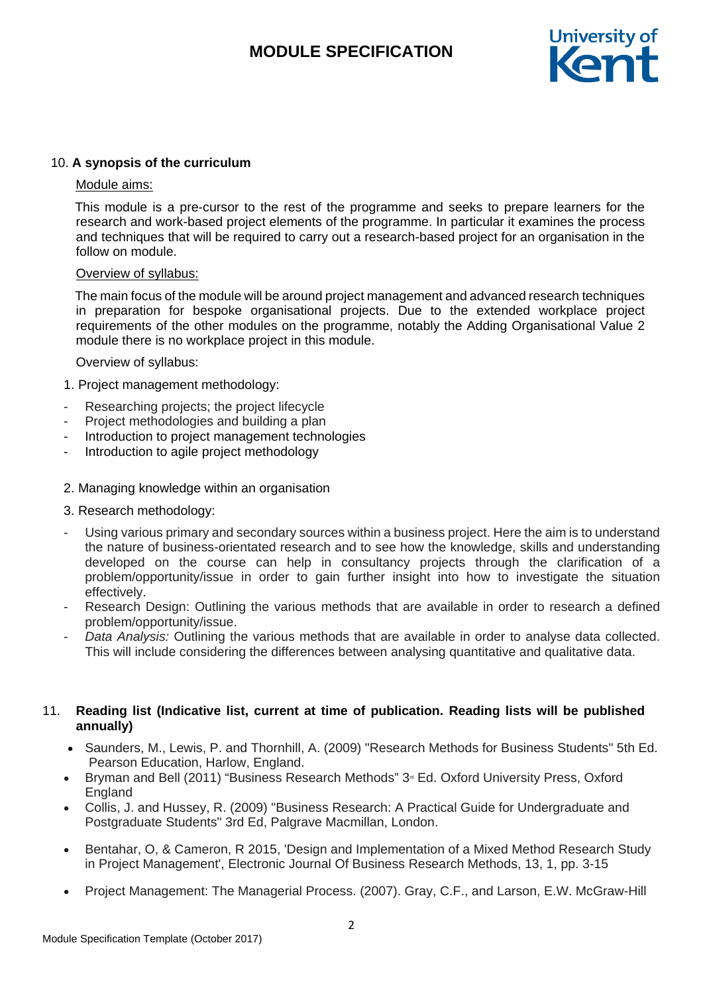

### 10. **A synopsis of the curriculum**

#### Module aims:

 This module is a pre-cursor to the rest of the programme and seeks to prepare learners for the research and work-based project elements of the programme. In particular it examines the process and techniques that will be required to carry out a research-based project for an organisation in the follow on module.

### Overview of syllabus:

 The main focus of the module will be around project management and advanced research techniques in preparation for bespoke organisational projects. Due to the extended workplace project requirements of the other modules on the programme, notably the Adding Organisational Value 2 module there is no workplace project in this module.

### Overview of syllabus:

- 1. Project management methodology:
- Researching projects; the project lifecycle
- Project methodologies and building a plan
- Introduction to project management technologies
- Introduction to agile project methodology

#### 2. Managing knowledge within an organisation

- 3. Research methodology:
- Using various primary and secondary sources within a business project. Here the aim is to understand the nature of business-orientated research and to see how the knowledge, skills and understanding developed on the course can help in consultancy projects through the clarification of a problem/opportunity/issue in order to gain further insight into how to investigate the situation effectively.
- Research Design: Outlining the various methods that are available in order to research a defined problem/opportunity/issue.
- Data Analysis: Outlining the various methods that are available in order to analyse data collected. This will include considering the differences between analysing quantitative and qualitative data.

### 11. **Reading list (Indicative list, current at time of publication. Reading lists will be published annually)**

- Saunders, M., Lewis, P. and Thornhill, A. (2009) "Research Methods for Business Students" 5th Ed. Pearson Education, Harlow, England.
- Bryman and Bell (2011) "Business Research Methods" 3<sup>®</sup> Ed. Oxford University Press, Oxford England
- Collis, J. and Hussey, R. (2009) "Business Research: A Practical Guide for Undergraduate and Postgraduate Students" 3rd Ed, Palgrave Macmillan, London.
- Bentahar, O, & Cameron, R 2015, 'Design and Implementation of a Mixed Method Research Study in Project Management', Electronic Journal Of Business Research Methods, 13, 1, pp. 3-15
- Project Management: The Managerial Process. (2007). Gray, C.F., and Larson, E.W. McGraw-Hill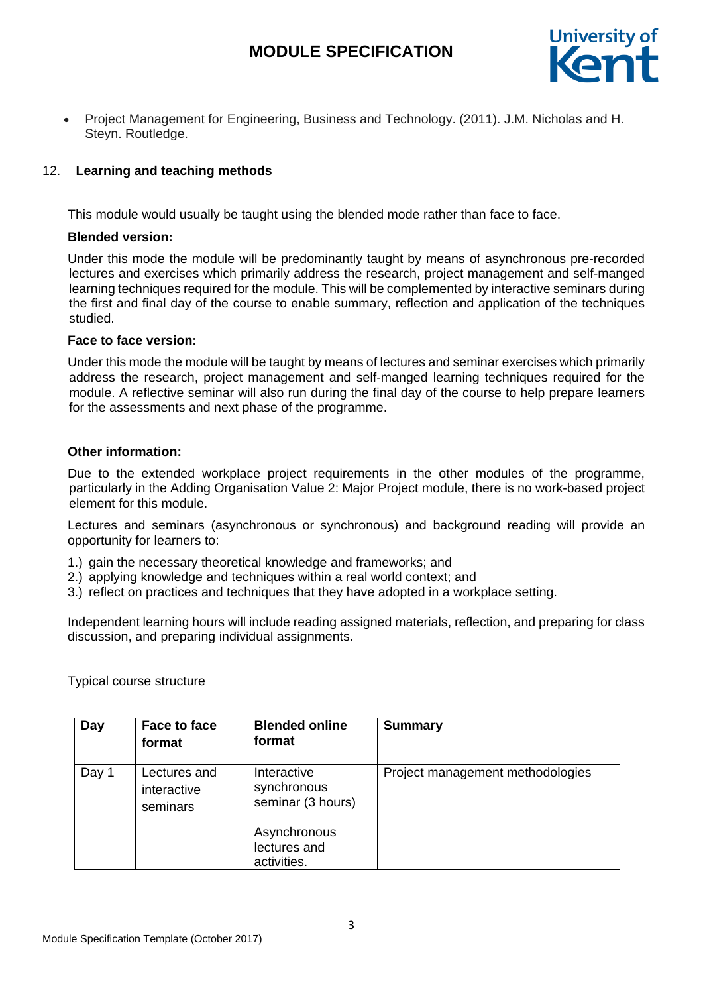

• Project Management for Engineering, Business and Technology. (2011). J.M. Nicholas and H. Steyn. Routledge.

## 12. **Learning and teaching methods**

This module would usually be taught using the blended mode rather than face to face.

## **Blended version:**

Under this mode the module will be predominantly taught by means of asynchronous pre-recorded lectures and exercises which primarily address the research, project management and self-manged learning techniques required for the module. This will be complemented by interactive seminars during the first and final day of the course to enable summary, reflection and application of the techniques studied.

## **Face to face version:**

Under this mode the module will be taught by means of lectures and seminar exercises which primarily address the research, project management and self-manged learning techniques required for the module. A reflective seminar will also run during the final day of the course to help prepare learners for the assessments and next phase of the programme.

## **Other information:**

Due to the extended workplace project requirements in the other modules of the programme, particularly in the Adding Organisation Value 2: Major Project module, there is no work-based project element for this module.

Lectures and seminars (asynchronous or synchronous) and background reading will provide an opportunity for learners to:

- 1.) gain the necessary theoretical knowledge and frameworks; and
- 2.) applying knowledge and techniques within a real world context; and
- 3.) reflect on practices and techniques that they have adopted in a workplace setting.

Independent learning hours will include reading assigned materials, reflection, and preparing for class discussion, and preparing individual assignments.

Typical course structure

| Day   | Face to face<br>format                  | <b>Blended online</b><br>format                 | <b>Summary</b>                   |
|-------|-----------------------------------------|-------------------------------------------------|----------------------------------|
| Day 1 | Lectures and<br>interactive<br>seminars | Interactive<br>synchronous<br>seminar (3 hours) | Project management methodologies |
|       |                                         | Asynchronous<br>lectures and<br>activities.     |                                  |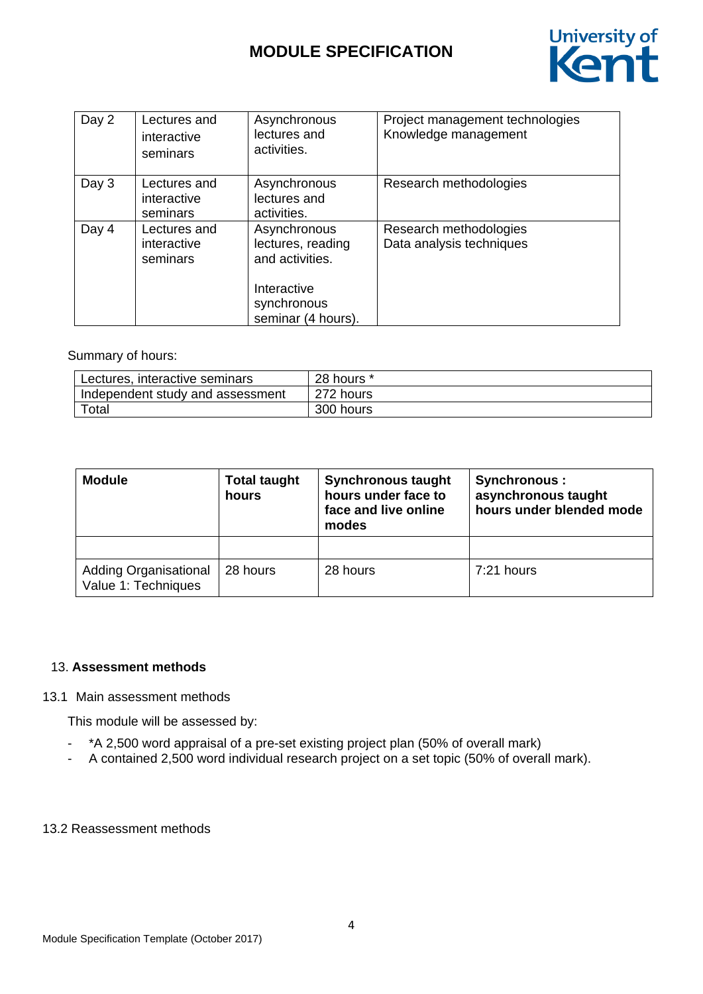

| Day 2 | Lectures and<br>interactive<br>seminars | Asynchronous<br>lectures and<br>activities.                                                              | Project management technologies<br>Knowledge management |
|-------|-----------------------------------------|----------------------------------------------------------------------------------------------------------|---------------------------------------------------------|
| Day 3 | Lectures and<br>interactive<br>seminars | Asynchronous<br>lectures and<br>activities.                                                              | Research methodologies                                  |
| Day 4 | Lectures and<br>interactive<br>seminars | Asynchronous<br>lectures, reading<br>and activities.<br>Interactive<br>synchronous<br>seminar (4 hours). | Research methodologies<br>Data analysis techniques      |

### Summary of hours:

| Lectures, interactive seminars     | $+28$ hours $*$ |
|------------------------------------|-----------------|
| I Independent study and assessment | 272 hours       |
| Total                              | 300 hours       |

| <b>Module</b>                                       | <b>Total taught</b><br>hours | <b>Synchronous taught</b><br>hours under face to<br>face and live online<br>modes | Synchronous :<br>asynchronous taught<br>hours under blended mode |  |  |
|-----------------------------------------------------|------------------------------|-----------------------------------------------------------------------------------|------------------------------------------------------------------|--|--|
|                                                     |                              |                                                                                   |                                                                  |  |  |
| <b>Adding Organisational</b><br>Value 1: Techniques | 28 hours                     | 28 hours                                                                          | $7:21$ hours                                                     |  |  |

## 13. **Assessment methods**

### 13.1 Main assessment methods

This module will be assessed by:

- \*A 2,500 word appraisal of a pre-set existing project plan (50% of overall mark)
- A contained 2,500 word individual research project on a set topic (50% of overall mark).

#### 13.2 Reassessment methods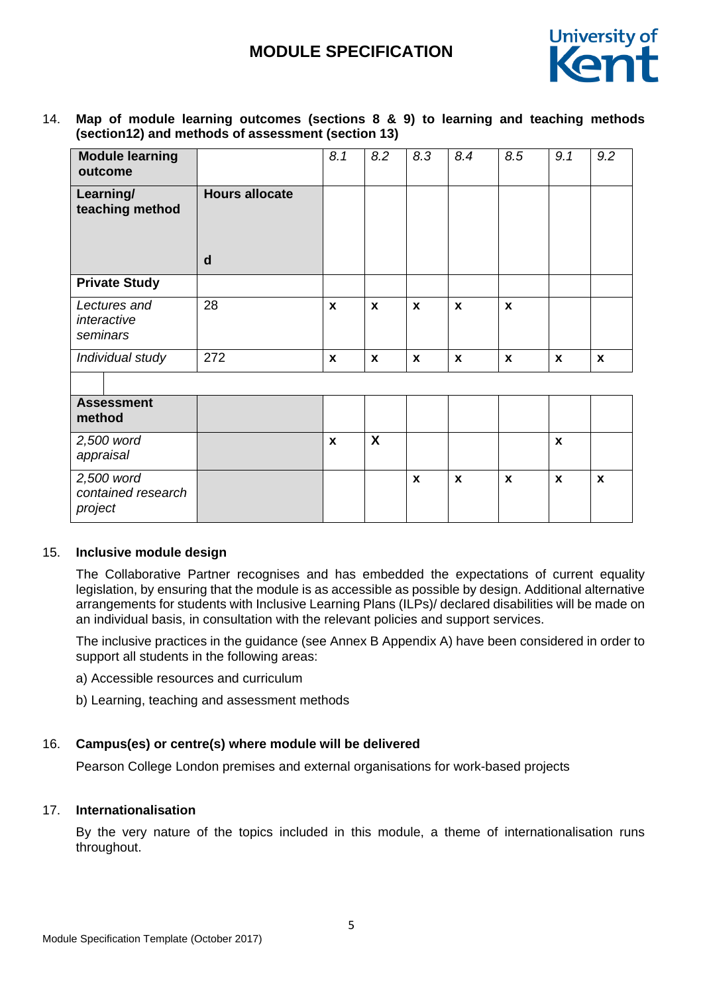

14. **Map of module learning outcomes (sections 8 & 9) to learning and teaching methods (section12) and methods of assessment (section 13)**

| <b>Module learning</b><br>outcome           |                       | 8.1                | 8.2          | 8.3              | 8.4          | 8.5          | 9.1                       | 9.2 |
|---------------------------------------------|-----------------------|--------------------|--------------|------------------|--------------|--------------|---------------------------|-----|
| Learning/<br>teaching method                | <b>Hours allocate</b> |                    |              |                  |              |              |                           |     |
|                                             | $\mathbf d$           |                    |              |                  |              |              |                           |     |
| <b>Private Study</b>                        |                       |                    |              |                  |              |              |                           |     |
| Lectures and<br>interactive<br>seminars     | 28                    | $\mathbf{x}$       | $\mathbf{x}$ | $\mathbf{x}$     | $\mathbf{x}$ | $\mathbf{x}$ |                           |     |
| Individual study                            | 272                   | $\mathbf{x}$       | X            | X                | $\mathbf x$  | $\mathbf{x}$ | $\mathbf{x}$              | X   |
|                                             |                       |                    |              |                  |              |              |                           |     |
| <b>Assessment</b><br>method                 |                       |                    |              |                  |              |              |                           |     |
| 2,500 word<br>appraisal                     |                       | $\pmb{\mathsf{x}}$ | X            |                  |              |              | $\boldsymbol{\mathsf{X}}$ |     |
| 2,500 word<br>contained research<br>project |                       |                    |              | $\boldsymbol{x}$ | $\mathbf x$  | $\mathbf x$  | $\mathbf{x}$              | X   |

#### 15. **Inclusive module design**

The Collaborative Partner recognises and has embedded the expectations of current equality legislation, by ensuring that the module is as accessible as possible by design. Additional alternative arrangements for students with Inclusive Learning Plans (ILPs)/ declared disabilities will be made on an individual basis, in consultation with the relevant policies and support services.

The inclusive practices in the guidance (see Annex B Appendix A) have been considered in order to support all students in the following areas:

- a) Accessible resources and curriculum
- b) Learning, teaching and assessment methods

## 16. **Campus(es) or centre(s) where module will be delivered**

Pearson College London premises and external organisations for work-based projects

## 17. **Internationalisation**

By the very nature of the topics included in this module, a theme of internationalisation runs throughout.